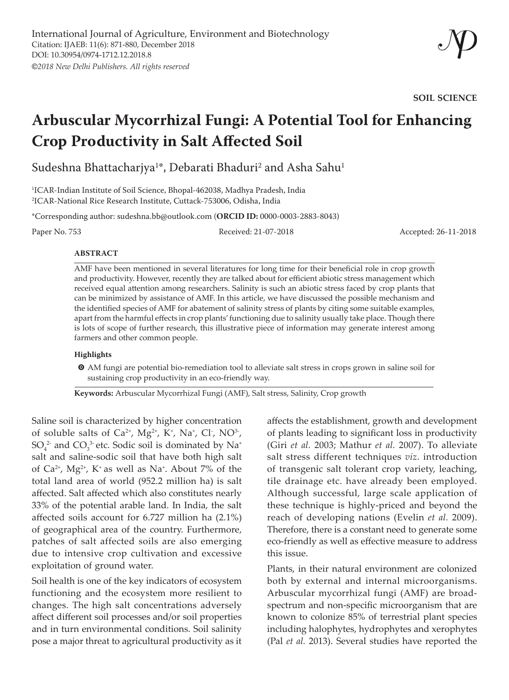**SOIL SCIENCE**

# **Arbuscular Mycorrhizal Fungi: A Potential Tool for Enhancing Crop Productivity in Salt Affected Soil**

Sudeshna Bhattacharjya $^{1*}$ , Debarati Bhaduri $^{2}$  and Asha Sahu $^{1}$ 

1 ICAR-Indian Institute of Soil Science, Bhopal-462038, Madhya Pradesh, India 2 ICAR-National Rice Research Institute, Cuttack-753006, Odisha, India

\*Corresponding author: sudeshna.bb@outlook.com (**ORCID ID:** 0000-0003-2883-8043)

Paper No. 753 Received: 21-07-2018 Accepted: 26-11-2018

#### **ABSTRACT**

AMF have been mentioned in several literatures for long time for their beneficial role in crop growth and productivity. However, recently they are talked about for efficient abiotic stress management which received equal attention among researchers. Salinity is such an abiotic stress faced by crop plants that can be minimized by assistance of AMF. In this article, we have discussed the possible mechanism and the identified species of AMF for abatement of salinity stress of plants by citing some suitable examples, apart from the harmful effects in crop plants' functioning due to salinity usually take place. Though there is lots of scope of further research, this illustrative piece of information may generate interest among farmers and other common people.

#### **Highlights**

 $\odot$  AM fungi are potential bio-remediation tool to alleviate salt stress in crops grown in saline soil for sustaining crop productivity in an eco-friendly way.

**Keywords:** Arbuscular Mycorrhizal Fungi (AMF), Salt stress, Salinity, Crop growth

Saline soil is characterized by higher concentration of soluble salts of  $Ca^{2+}$ ,  $Mg^{2+}$ ,  $K^+$ ,  $Na^+$ ,  $Cl^-$ ,  $NO^3$ -,  $SO_4^2$  and  $CO_3^3$  etc. Sodic soil is dominated by Na<sup>+</sup> salt and saline-sodic soil that have both high salt of  $Ca^{2+}$ ,  $Mg^{2+}$ , K<sup>+</sup> as well as Na<sup>+</sup>. About 7% of the total land area of world (952.2 million ha) is salt affected. Salt affected which also constitutes nearly 33% of the potential arable land. In India, the salt affected soils account for 6.727 million ha (2.1%) of geographical area of the country. Furthermore, patches of salt affected soils are also emerging due to intensive crop cultivation and excessive exploitation of ground water.

Soil health is one of the key indicators of ecosystem functioning and the ecosystem more resilient to changes. The high salt concentrations adversely affect different soil processes and/or soil properties and in turn environmental conditions. Soil salinity pose a major threat to agricultural productivity as it

affects the establishment, growth and development of plants leading to significant loss in productivity (Giri *et al.* 2003; Mathur *et al.* 2007). To alleviate salt stress different techniques *viz*. introduction of transgenic salt tolerant crop variety, leaching, tile drainage etc. have already been employed. Although successful, large scale application of these technique is highly-priced and beyond the reach of developing nations (Evelin *et al.* 2009). Therefore, there is a constant need to generate some eco-friendly as well as effective measure to address this issue.

Plants, in their natural environment are colonized both by external and internal microorganisms. Arbuscular mycorrhizal fungi (AMF) are broadspectrum and non-specific microorganism that are known to colonize 85% of terrestrial plant species including halophytes, hydrophytes and xerophytes (Pal *et al.* 2013). Several studies have reported the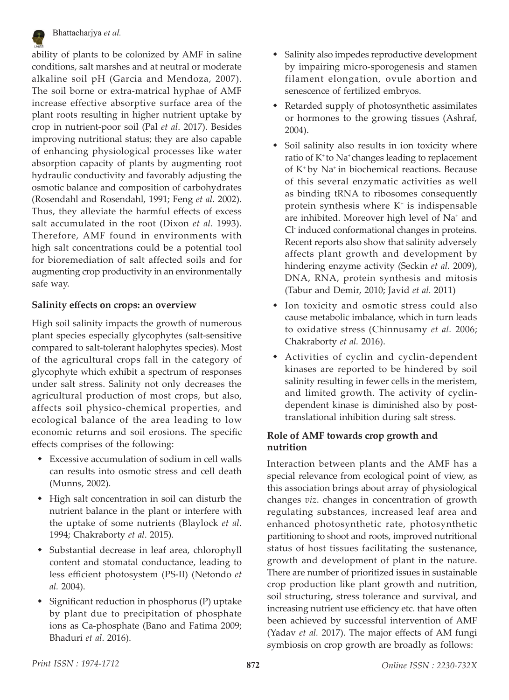

ability of plants to be colonized by AMF in saline conditions, salt marshes and at neutral or moderate alkaline soil pH (Garcia and Mendoza, 2007). The soil borne or extra-matrical hyphae of AMF increase effective absorptive surface area of the plant roots resulting in higher nutrient uptake by crop in nutrient-poor soil (Pal *et al*. 2017). Besides improving nutritional status; they are also capable of enhancing physiological processes like water absorption capacity of plants by augmenting root hydraulic conductivity and favorably adjusting the osmotic balance and composition of carbohydrates (Rosendahl and Rosendahl, 1991; Feng *et al*. 2002). Thus, they alleviate the harmful effects of excess salt accumulated in the root (Dixon *et al*. 1993). Therefore, AMF found in environments with high salt concentrations could be a potential tool for bioremediation of salt affected soils and for augmenting crop productivity in an environmentally safe way.

#### **Salinity effects on crops: an overview**

High soil salinity impacts the growth of numerous plant species especially glycophytes (salt-sensitive compared to salt-tolerant halophytes species). Most of the agricultural crops fall in the category of glycophyte which exhibit a spectrum of responses under salt stress. Salinity not only decreases the agricultural production of most crops, but also, affects soil physico-chemical properties, and ecological balance of the area leading to low economic returns and soil erosions. The specific effects comprises of the following:

- Excessive accumulation of sodium in cell walls can results into osmotic stress and cell death (Munns, 2002).
- High salt concentration in soil can disturb the nutrient balance in the plant or interfere with the uptake of some nutrients (Blaylock *et al*. 1994; Chakraborty *et al*. 2015).
- Substantial decrease in leaf area, chlorophyll content and stomatal conductance, leading to less efficient photosystem (PS-II) (Netondo *et al.* 2004).
- Significant reduction in phosphorus (P) uptake by plant due to precipitation of phosphate ions as Ca-phosphate (Bano and Fatima 2009; Bhaduri *et al*. 2016).
- Salinity also impedes reproductive development by impairing micro-sporogenesis and stamen filament elongation, ovule abortion and senescence of fertilized embryos.
- Retarded supply of photosynthetic assimilates or hormones to the growing tissues (Ashraf, 2004).
- Soil salinity also results in ion toxicity where ratio of  $K^*$  to Na<sup>+</sup> changes leading to replacement of K+ by Na+ in biochemical reactions. Because of this several enzymatic activities as well as binding tRNA to ribosomes consequently protein synthesis where  $K^*$  is indispensable are inhibited. Moreover high level of Na+ and Cl- induced conformational changes in proteins. Recent reports also show that salinity adversely affects plant growth and development by hindering enzyme activity (Seckin *et al.* 2009), DNA, RNA, protein synthesis and mitosis (Tabur and Demir, 2010; Javid *et al.* 2011)
- Ion toxicity and osmotic stress could also cause metabolic imbalance, which in turn leads to oxidative stress (Chinnusamy *et al.* 2006; Chakraborty *et al.* 2016).
- Activities of cyclin and cyclin-dependent kinases are reported to be hindered by soil salinity resulting in fewer cells in the meristem, and limited growth. The activity of cyclindependent kinase is diminished also by posttranslational inhibition during salt stress.

## **Role of AMF towards crop growth and nutrition**

Interaction between plants and the AMF has a special relevance from ecological point of view, as this association brings about array of physiological changes *viz*. changes in concentration of growth regulating substances, increased leaf area and enhanced photosynthetic rate, photosynthetic partitioning to shoot and roots, improved nutritional status of host tissues facilitating the sustenance, growth and development of plant in the nature. There are number of prioritized issues in sustainable crop production like plant growth and nutrition, soil structuring, stress tolerance and survival, and increasing nutrient use efficiency etc. that have often been achieved by successful intervention of AMF (Yadav *et al.* 2017). The major effects of AM fungi symbiosis on crop growth are broadly as follows: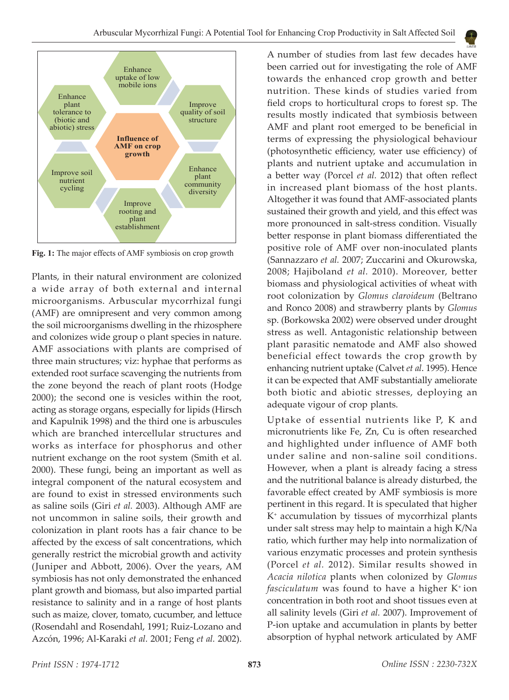

**Fig. 1:** The major effects of AMF symbiosis on crop growth

Plants, in their natural environment are colonized a wide array of both external and internal microorganisms. Arbuscular mycorrhizal fungi (AMF) are omnipresent and very common among the soil microorganisms dwelling in the rhizosphere and colonizes wide group o plant species in nature. AMF associations with plants are comprised of three main structures; viz: hyphae that performs as extended root surface scavenging the nutrients from the zone beyond the reach of plant roots (Hodge 2000); the second one is vesicles within the root, acting as storage organs, especially for lipids (Hirsch and Kapulnik 1998) and the third one is arbuscules which are branched intercellular structures and works as interface for phosphorus and other nutrient exchange on the root system (Smith et al. 2000). These fungi, being an important as well as integral component of the natural ecosystem and are found to exist in stressed environments such as saline soils (Giri *et al.* 2003). Although AMF are not uncommon in saline soils, their growth and colonization in plant roots has a fair chance to be affected by the excess of salt concentrations, which generally restrict the microbial growth and activity (Juniper and Abbott, 2006). Over the years, AM symbiosis has not only demonstrated the enhanced plant growth and biomass, but also imparted partial resistance to salinity and in a range of host plants such as maize, clover, tomato, cucumber, and lettuce (Rosendahl and Rosendahl, 1991; Ruiz-Lozano and Azcón, 1996; Al-Karaki *et al.* 2001; Feng *et al.* 2002).

A number of studies from last few decades have been carried out for investigating the role of AMF towards the enhanced crop growth and better nutrition. These kinds of studies varied from field crops to horticultural crops to forest sp. The results mostly indicated that symbiosis between AMF and plant root emerged to be beneficial in terms of expressing the physiological behaviour (photosynthetic efficiency, water use efficiency) of plants and nutrient uptake and accumulation in a better way (Porcel *et al.* 2012) that often reflect in increased plant biomass of the host plants. Altogether it was found that AMF-associated plants sustained their growth and yield, and this effect was more pronounced in salt-stress condition. Visually better response in plant biomass differentiated the positive role of AMF over non-inoculated plants (Sannazzaro *et al.* 2007; Zuccarini and Okurowska, 2008; Hajiboland *et al.* 2010). Moreover, better biomass and physiological activities of wheat with root colonization by *Glomus claroideum* (Beltrano and Ronco 2008) and strawberry plants by *Glomus* sp. (Borkowska 2002) were observed under drought stress as well. Antagonistic relationship between plant parasitic nematode and AMF also showed beneficial effect towards the crop growth by enhancing nutrient uptake (Calvet *et al*. 1995). Hence it can be expected that AMF substantially ameliorate both biotic and abiotic stresses, deploying an adequate vigour of crop plants.

Uptake of essential nutrients like P, K and micronutrients like Fe, Zn, Cu is often researched and highlighted under influence of AMF both under saline and non-saline soil conditions. However, when a plant is already facing a stress and the nutritional balance is already disturbed, the favorable effect created by AMF symbiosis is more pertinent in this regard. It is speculated that higher K<sup>+</sup> accumulation by tissues of mycorrhizal plants under salt stress may help to maintain a high K/Na ratio, which further may help into normalization of various enzymatic processes and protein synthesis (Porcel *et al.* 2012). Similar results showed in *Acacia nilotica* plants when colonized by *Glomus fasciculatum* was found to have a higher K+ ion concentration in both root and shoot tissues even at all salinity levels (Giri *et al.* 2007). Improvement of P-ion uptake and accumulation in plants by better absorption of hyphal network articulated by AMF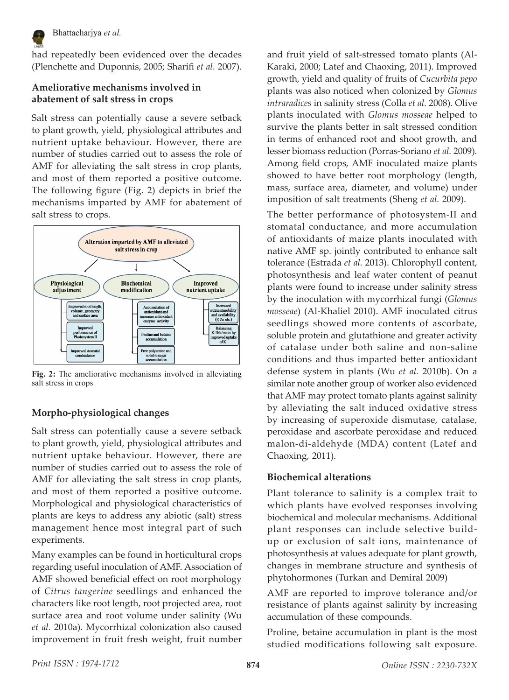

Bhattacharjya *et al.*

had repeatedly been evidenced over the decades (Plenchette and Duponnis, 2005; Sharifi *et al.* 2007).

#### **Ameliorative mechanisms involved in abatement of salt stress in crops**

Salt stress can potentially cause a severe setback to plant growth, yield, physiological attributes and nutrient uptake behaviour. However, there are number of studies carried out to assess the role of AMF for alleviating the salt stress in crop plants, and most of them reported a positive outcome. The following figure (Fig. 2) depicts in brief the mechanisms imparted by AMF for abatement of salt stress to crops.



**Fig. 2:** The ameliorative mechanisms involved in alleviating salt stress in crops

## **Morpho-physiological changes**

Salt stress can potentially cause a severe setback to plant growth, yield, physiological attributes and nutrient uptake behaviour. However, there are number of studies carried out to assess the role of AMF for alleviating the salt stress in crop plants, and most of them reported a positive outcome. Morphological and physiological characteristics of plants are keys to address any abiotic (salt) stress management hence most integral part of such experiments.

Many examples can be found in horticultural crops regarding useful inoculation of AMF. Association of AMF showed beneficial effect on root morphology of *Citrus tangerine* seedlings and enhanced the characters like root length, root projected area, root surface area and root volume under salinity (Wu *et al.* 2010a). Mycorrhizal colonization also caused improvement in fruit fresh weight, fruit number and fruit yield of salt-stressed tomato plants (Al-Karaki, 2000; Latef and Chaoxing, 2011). Improved growth, yield and quality of fruits of *Cucurbita pepo* plants was also noticed when colonized by *Glomus intraradices* in salinity stress (Colla *et al.* 2008). Olive plants inoculated with *Glomus mosseae* helped to survive the plants better in salt stressed condition in terms of enhanced root and shoot growth, and lesser biomass reduction (Porras-Soriano *et al.* 2009). Among field crops, AMF inoculated maize plants showed to have better root morphology (length, mass, surface area, diameter, and volume) under imposition of salt treatments (Sheng *et al.* 2009).

The better performance of photosystem-II and stomatal conductance, and more accumulation of antioxidants of maize plants inoculated with native AMF sp. jointly contributed to enhance salt tolerance (Estrada *et al.* 2013). Chlorophyll content, photosynthesis and leaf water content of peanut plants were found to increase under salinity stress by the inoculation with mycorrhizal fungi (*Glomus mosseae*) (Al-Khaliel 2010). AMF inoculated citrus seedlings showed more contents of ascorbate, soluble protein and glutathione and greater activity of catalase under both saline and non-saline conditions and thus imparted better antioxidant defense system in plants (Wu *et al.* 2010b). On a similar note another group of worker also evidenced that AMF may protect tomato plants against salinity by alleviating the salt induced oxidative stress by increasing of superoxide dismutase, catalase, peroxidase and ascorbate peroxidase and reduced malon-di-aldehyde (MDA) content (Latef and Chaoxing, 2011).

## **Biochemical alterations**

Plant tolerance to salinity is a complex trait to which plants have evolved responses involving biochemical and molecular mechanisms. Additional plant responses can include selective buildup or exclusion of salt ions, maintenance of photosynthesis at values adequate for plant growth, changes in membrane structure and synthesis of phytohormones (Turkan and Demiral 2009)

AMF are reported to improve tolerance and/or resistance of plants against salinity by increasing accumulation of these compounds.

Proline, betaine accumulation in plant is the most studied modifications following salt exposure.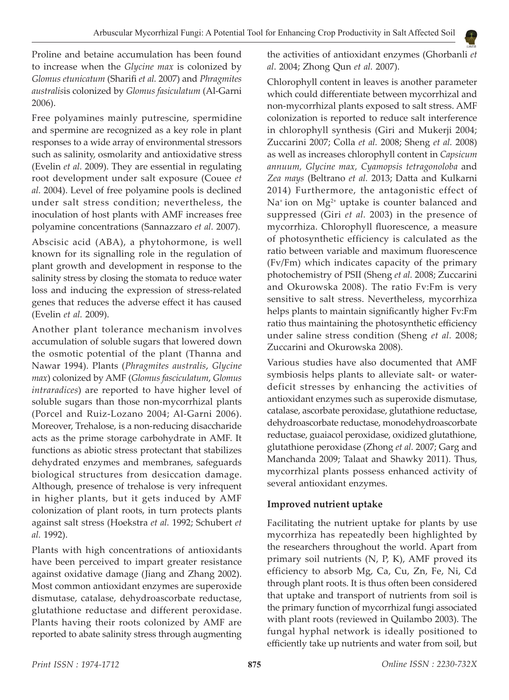Proline and betaine accumulation has been found to increase when the *Glycine max* is colonized by *Glomus etunicatum* (Sharifi *et al.* 2007) and *Phragmites australis*is colonized by *Glomus fasiculatum* (Al-Garni 2006).

Free polyamines mainly putrescine, spermidine and spermine are recognized as a key role in plant responses to a wide array of environmental stressors such as salinity, osmolarity and antioxidative stress (Evelin *et al.* 2009). They are essential in regulating root development under salt exposure (Couee *et al.* 2004). Level of free polyamine pools is declined under salt stress condition; nevertheless, the inoculation of host plants with AMF increases free polyamine concentrations (Sannazzaro *et al.* 2007).

Abscisic acid (ABA), a phytohormone, is well known for its signalling role in the regulation of plant growth and development in response to the salinity stress by closing the stomata to reduce water loss and inducing the expression of stress-related genes that reduces the adverse effect it has caused (Evelin *et al.* 2009).

Another plant tolerance mechanism involves accumulation of soluble sugars that lowered down the osmotic potential of the plant (Thanna and Nawar 1994). Plants (*Phragmites australis*, *Glycine max*) colonized by AMF (*Glomus fasciculatum*, *Glomus intraradices*) are reported to have higher level of soluble sugars than those non-mycorrhizal plants (Porcel and Ruiz-Lozano 2004; Al-Garni 2006). Moreover, Trehalose, is a non-reducing disaccharide acts as the prime storage carbohydrate in AMF. It functions as abiotic stress protectant that stabilizes dehydrated enzymes and membranes, safeguards biological structures from desiccation damage. Although, presence of trehalose is very infrequent in higher plants, but it gets induced by AMF colonization of plant roots, in turn protects plants against salt stress (Hoekstra *et al.* 1992; Schubert *et al.* 1992).

Plants with high concentrations of antioxidants have been perceived to impart greater resistance against oxidative damage (Jiang and Zhang 2002). Most common antioxidant enzymes are superoxide dismutase, catalase, dehydroascorbate reductase, glutathione reductase and different peroxidase. Plants having their roots colonized by AMF are reported to abate salinity stress through augmenting

the activities of antioxidant enzymes (Ghorbanli *et al*. 2004; Zhong Qun *et al.* 2007).

Chlorophyll content in leaves is another parameter which could differentiate between mycorrhizal and non-mycorrhizal plants exposed to salt stress. AMF colonization is reported to reduce salt interference in chlorophyll synthesis (Giri and Mukerji 2004; Zuccarini 2007; Colla *et al.* 2008; Sheng *et al.* 2008) as well as increases chlorophyll content in *Capsicum annuum, Glycine max, Cyamopsis tetragonoloba* and *Zea mays* (Beltrano *et al.* 2013; Datta and Kulkarni 2014) Furthermore, the antagonistic effect of Na<sup>+</sup> ion on  $Mg^{2+}$  uptake is counter balanced and suppressed (Giri *et al.* 2003) in the presence of mycorrhiza. Chlorophyll fluorescence, a measure of photosynthetic efficiency is calculated as the ratio between variable and maximum fluorescence (Fv/Fm) which indicates capacity of the primary photochemistry of PSII (Sheng *et al.* 2008; Zuccarini and Okurowska 2008). The ratio Fv:Fm is very sensitive to salt stress. Nevertheless, mycorrhiza helps plants to maintain significantly higher Fv:Fm ratio thus maintaining the photosynthetic efficiency under saline stress condition (Sheng *et al.* 2008; Zuccarini and Okurowska 2008).

Various studies have also documented that AMF symbiosis helps plants to alleviate salt- or waterdeficit stresses by enhancing the activities of antioxidant enzymes such as superoxide dismutase, catalase, ascorbate peroxidase, glutathione reductase, dehydroascorbate reductase, monodehydroascorbate reductase, guaiacol peroxidase, oxidized glutathione, glutathione peroxidase (Zhong *et al.* 2007; Garg and Manchanda 2009; Talaat and Shawky 2011). Thus, mycorrhizal plants possess enhanced activity of several antioxidant enzymes.

## **Improved nutrient uptake**

Facilitating the nutrient uptake for plants by use mycorrhiza has repeatedly been highlighted by the researchers throughout the world. Apart from primary soil nutrients (N, P, K), AMF proved its efficiency to absorb Mg, Ca, Cu, Zn, Fe, Ni, Cd through plant roots. It is thus often been considered that uptake and transport of nutrients from soil is the primary function of mycorrhizal fungi associated with plant roots (reviewed in Quilambo 2003). The fungal hyphal network is ideally positioned to efficiently take up nutrients and water from soil, but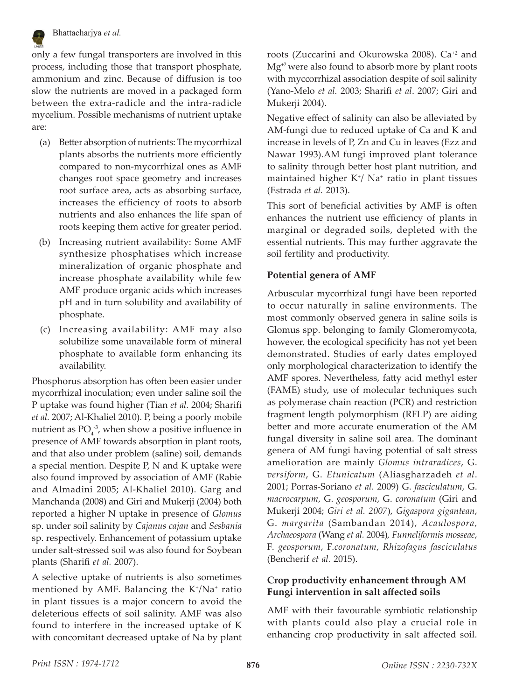

#### Bhattacharjya *et al.*

only a few fungal transporters are involved in this process, including those that transport phosphate, ammonium and zinc. Because of diffusion is too slow the nutrients are moved in a packaged form between the extra-radicle and the intra-radicle mycelium. Possible mechanisms of nutrient uptake are:

- (a) Better absorption of nutrients: The mycorrhizal plants absorbs the nutrients more efficiently compared to non-mycorrhizal ones as AMF changes root space geometry and increases root surface area, acts as absorbing surface, increases the efficiency of roots to absorb nutrients and also enhances the life span of roots keeping them active for greater period.
- (b) Increasing nutrient availability: Some AMF synthesize phosphatises which increase mineralization of organic phosphate and increase phosphate availability while few AMF produce organic acids which increases pH and in turn solubility and availability of phosphate.
- (c) Increasing availability: AMF may also solubilize some unavailable form of mineral phosphate to available form enhancing its availability.

Phosphorus absorption has often been easier under mycorrhizal inoculation; even under saline soil the P uptake was found higher (Tian *et al.* 2004; Sharifi *et al.* 2007; Al-Khaliel 2010). P, being a poorly mobile nutrient as  $PO_4^{\,3}$ , when show a positive influence in presence of AMF towards absorption in plant roots, and that also under problem (saline) soil, demands a special mention. Despite P, N and K uptake were also found improved by association of AMF (Rabie and Almadini 2005; Al-Khaliel 2010). Garg and Manchanda (2008) and Giri and Mukerji (2004) both reported a higher N uptake in presence of *Glomus* sp. under soil salinity by *Cajanus cajan* and *Sesbania* sp. respectively. Enhancement of potassium uptake under salt-stressed soil was also found for Soybean plants (Sharifi *et al.* 2007).

A selective uptake of nutrients is also sometimes mentioned by AMF. Balancing the K<sup>+</sup>/Na<sup>+</sup> ratio in plant tissues is a major concern to avoid the deleterious effects of soil salinity. AMF was also found to interfere in the increased uptake of K with concomitant decreased uptake of Na by plant

roots (Zuccarini and Okurowska 2008). Ca+2 and  $Mg^{2}$  were also found to absorb more by plant roots with myccorrhizal association despite of soil salinity (Yano-Melo *et al.* 2003; Sharifi *et al*. 2007; Giri and Mukerji 2004).

Negative effect of salinity can also be alleviated by AM-fungi due to reduced uptake of Ca and K and increase in levels of P, Zn and Cu in leaves (Ezz and Nawar 1993).AM fungi improved plant tolerance to salinity through better host plant nutrition, and maintained higher K<sup>+</sup> / Na+ ratio in plant tissues (Estrada *et al.* 2013).

This sort of beneficial activities by AMF is often enhances the nutrient use efficiency of plants in marginal or degraded soils, depleted with the essential nutrients. This may further aggravate the soil fertility and productivity.

#### **Potential genera of AMF**

Arbuscular mycorrhizal fungi have been reported to occur naturally in saline environments. The most commonly observed genera in saline soils is Glomus spp. belonging to family Glomeromycota, however, the ecological specificity has not yet been demonstrated. Studies of early dates employed only morphological characterization to identify the AMF spores. Nevertheless, fatty acid methyl ester (FAME) study, use of molecular techniques such as polymerase chain reaction (PCR) and restriction fragment length polymorphism (RFLP) are aiding better and more accurate enumeration of the AM fungal diversity in saline soil area. The dominant genera of AM fungi having potential of salt stress amelioration are mainly *Glomus intraradices*, G. *versiform*, G. *Etunicatum* (Aliasgharzadeh *et al*. 2001; Porras-Soriano *et al*. 2009) G. *fasciculatum*, G. *macrocarpum*, G. *geosporum*, G. *coronatum* (Giri and Mukerji 2004; *Giri et al. 2007*), *Gigaspora gigantean*, G. *margarita* (Sambandan 2014), *Acaulospora, Archaeospora* (Wang *et al.* 2004)*, Funneliformis mosseae*, F. *geosporum*, F.*coronatum*, *Rhizofagus fasciculatus* (Bencherif *et al.* 2015).

#### **Crop productivity enhancement through AM Fungi intervention in salt affected soils**

AMF with their favourable symbiotic relationship with plants could also play a crucial role in enhancing crop productivity in salt affected soil.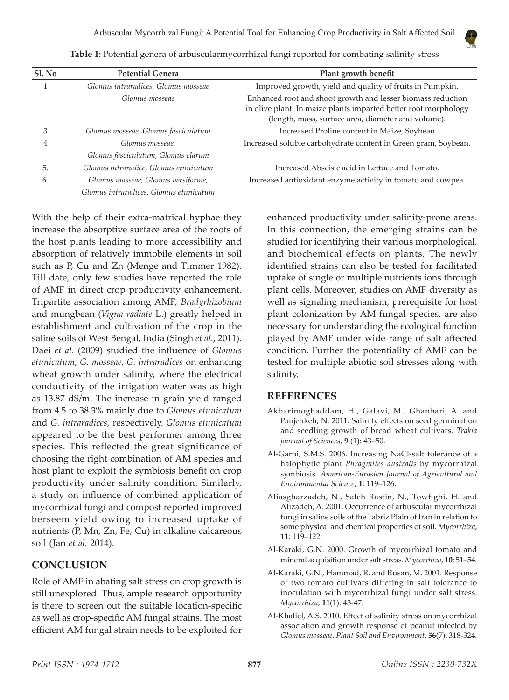

| Sl. No | <b>Potential Genera</b>                | Plant growth benefit                                                                                                                                                                 |
|--------|----------------------------------------|--------------------------------------------------------------------------------------------------------------------------------------------------------------------------------------|
|        | Glomus intraradices, Glomus mosseae    | Improved growth, yield and quality of fruits in Pumpkin.                                                                                                                             |
|        | Glomus mosseae                         | Enhanced root and shoot growth and lesser biomass reduction<br>in olive plant. In maize plants imparted better root morphology<br>(length, mass, surface area, diameter and volume). |
| З      | Glomus mosseae, Glomus fasciculatum    | Increased Proline content in Maize, Soybean                                                                                                                                          |
| 4      | Glomus mosseae,                        | Increased soluble carbohydrate content in Green gram, Soybean.                                                                                                                       |
|        | Glomus fasciculatum, Glomus clarum     |                                                                                                                                                                                      |
| 5.     | Glomus intraradice, Glomus etunicatum  | Increased Abscisic acid in Lettuce and Tomato.                                                                                                                                       |
| 6.     | Glomus mosseae, Glomus versiforme,     | Increased antioxidant enzyme activity in tomato and cowpea.                                                                                                                          |
|        | Glomus intraradices, Glomus etunicatum |                                                                                                                                                                                      |

**Table 1:** Potential genera of arbuscularmycorrhizal fungi reported for combating salinity stress

With the help of their extra-matrical hyphae they increase the absorptive surface area of the roots of the host plants leading to more accessibility and absorption of relatively immobile elements in soil such as P, Cu and Zn (Menge and Timmer 1982). Till date, only few studies have reported the role of AMF in direct crop productivity enhancement. Tripartite association among AMF, *Bradyrhizobium*  and mungbean (*Vigna radiate* L.) greatly helped in establishment and cultivation of the crop in the saline soils of West Bengal, India (Singh *et al.*, 2011). Daei *et al.* (2009) studied the influence of *Glomus etunicatum*, *G. mosseae*, *G. intraradices* on enhancing wheat growth under salinity, where the electrical conductivity of the irrigation water was as high as 13.87 dS/m. The increase in grain yield ranged from 4.5 to 38.3% mainly due to *Glomus etunicatum*  and *G. intraradices*, respectively. *Glomus etunicatum* appeared to be the best performer among three species. This reflected the great significance of choosing the right combination of AM species and host plant to exploit the symbiosis benefit on crop productivity under salinity condition. Similarly, a study on influence of combined application of mycorrhizal fungi and compost reported improved berseem yield owing to increased uptake of nutrients (P, Mn, Zn, Fe, Cu) in alkaline calcareous soil (Jan *et al.* 2014).

# **CONCLUSION**

Role of AMF in abating salt stress on crop growth is still unexplored. Thus, ample research opportunity is there to screen out the suitable location-specific as well as crop-specific AM fungal strains. The most efficient AM fungal strain needs to be exploited for enhanced productivity under salinity-prone areas. In this connection, the emerging strains can be studied for identifying their various morphological, and biochemical effects on plants. The newly identified strains can also be tested for facilitated uptake of single or multiple nutrients ions through plant cells. Moreover, studies on AMF diversity as well as signaling mechanism, prerequisite for host plant colonization by AM fungal species, are also necessary for understanding the ecological function played by AMF under wide range of salt affected condition. Further the potentiality of AMF can be tested for multiple abiotic soil stresses along with salinity.

# **REFERENCES**

- Akbarimoghaddam, H., Galavi, M., Ghanbari, A. and Panjehkeh, N. 2011. Salinity effects on seed germination and seedling growth of bread wheat cultivars. *Trakia journal of Sciences*, **9** (1): 43–50.
- Al-Garni, S.M.S. 2006. Increasing NaCl-salt tolerance of a halophytic plant *Phragmites australis* by mycorrhizal symbiosis. *American-Eurasian Journal of Agricultural and Environmental Science*, **1**: 119–126.
- Aliasgharzadeh, N., Saleh Rastin, N., Towfighi, H. and Alizadeh, A. 2001. Occurrence of arbuscular mycorrhizal fungi in saline soils of the Tabriz Plain of Iran in relation to some physical and chemical properties of soil. *Mycorrhiza*, **11**: 119–122.
- Al-Karaki, G.N. 2000. Growth of mycorrhizal tomato and mineral acquisition under salt stress. *Mycorrhiza*, **10**: 51–54.
- Al-Karaki, G.N., Hammad, R. and Rusan, M. 2001. Response of two tomato cultivars differing in salt tolerance to inoculation with mycorrhizal fungi under salt stress. *Mycorrhiza*, **11**(1): 43-47.
- Al-Khaliel, A.S. 2010. Effect of salinity stress on mycorrhizal association and growth response of peanut infected by *Glomus mosseae*. *Plant Soil and Environment*, **56**(7): 318-324.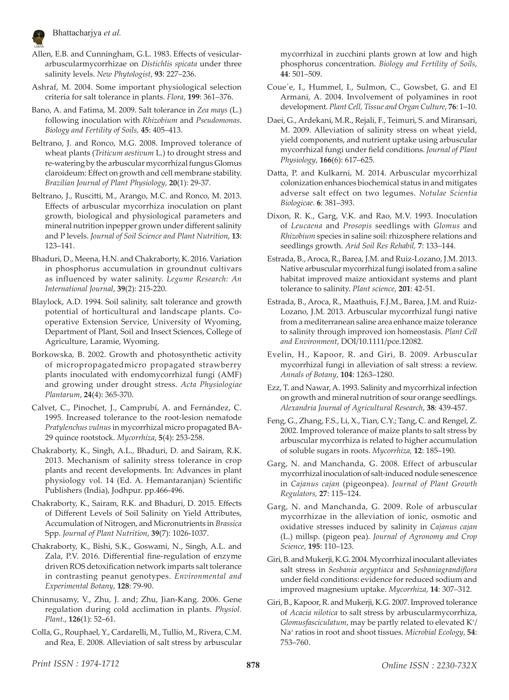

- Allen, E.B. and Cunningham, G.L. 1983. Effects of vesiculararbuscularmycorrhizae on *Distichlis spicata* under three salinity levels. *New Phytologist*, **93**: 227–236.
- Ashraf, M. 2004. Some important physiological selection criteria for salt tolerance in plants. *Flora*, **199**: 361–376.
- Bano, A. and Fatima, M. 2009. Salt tolerance in *Zea mays* (L.) following inoculation with *Rhizobium* and *Pseudomonas*. *Biology and Fertility of Soils,* **45**: 405–413.
- Beltrano, J. and Ronco, M.G. 2008. Improved tolerance of wheat plants (*Triticum aestivum* L.) to drought stress and re-watering by the arbuscular mycorrhizal fungus Glomus claroideum: Effect on growth and cell membrane stability. *Brazilian Journal of Plant Physiology*, **20**(1): 29-37.
- Beltrano, J., Ruscitti, M., Arango, M.C. and Ronco, M. 2013. Effects of arbuscular mycorrhiza inoculation on plant growth, biological and physiological parameters and mineral nutrition inpepper grown under different salinity and P levels. *Journal of Soil Science and Plant Nutrition*, **13**: 123–141.
- Bhaduri, D., Meena, H.N. and Chakraborty, K. 2016. Variation in phosphorus accumulation in groundnut cultivars as influenced by water salinity. *Legume Research: An International Journal*, **39**(2): 215-220.
- Blaylock, A.D. 1994. Soil salinity, salt tolerance and growth potential of horticultural and landscape plants. Cooperative Extension Service, University of Wyoming, Department of Plant, Soil and Insect Sciences, College of Agriculture, Laramie, Wyoming.
- Borkowska, B. 2002. Growth and photosynthetic activity of micropropagatedmicro propagated strawberry plants inoculated with endomycorrhizal fungi (AMF) and growing under drought stress. *Acta Physiologiae Plantarum*, **24**(4): 365-370.
- Calvet, C., Pinochet, J., Camprubí, A. and Fernández, C. 1995. Increased tolerance to the root-lesion nematode *Pratylenchus vulnus* in mycorrhizal micro propagated BA-29 quince rootstock. *Mycorrhiza*, **5**(4): 253-258.
- Chakraborty, K., Singh, A.L., Bhaduri, D. and Sairam, R.K. 2013. Mechanism of salinity stress tolerance in crop plants and recent developments. In: Advances in plant physiology vol. 14 (Ed. A. Hemantaranjan) Scientific Publishers (India), Jodhpur. pp.466-496.
- Chakraborty, K., Sairam, R.K. and Bhaduri, D. 2015. Effects of Different Levels of Soil Salinity on Yield Attributes, Accumulation of Nitrogen, and Micronutrients in *Brassica* Spp. *Journal of Plant Nutrition*, **39**(7): 1026-1037.
- Chakraborty, K., Bishi, S.K., Goswami, N., Singh, A.L. and Zala, P.V. 2016. Differential fine-regulation of enzyme driven ROS detoxification network imparts salt tolerance in contrasting peanut genotypes. *Environmental and Experimental Botany*, **128**: 79-90.
- Chinnusamy, V., Zhu, J. and; Zhu, Jian-Kang. 2006. Gene regulation during cold acclimation in plants. *Physiol. Plant.*, **126**(1): 52–61.
- Colla, G., Rouphael, Y., Cardarelli, M., Tullio, M., Rivera, C.M. and Rea, E. 2008. Alleviation of salt stress by arbuscular

mycorrhizal in zucchini plants grown at low and high phosphorus concentration. *Biology and Fertility of Soils*, **44**: 501–509.

- Coue´e, I., Hummel, I., Sulmon, C., Gowsbet, G. and El Armani, A. 2004. Involvement of polyamines in root development. *Plant Cell, Tissue and Organ Culture*, **76**: 1–10.
- Daei, G., Ardekani, M.R., Rejali, F., Teimuri, S. and Miransari, M. 2009. Alleviation of salinity stress on wheat yield, yield components, and nutrient uptake using arbuscular mycorrhizal fungi under field conditions. *Journal of Plant Physiology*, **166**(6): 617–625.
- Datta, P. and Kulkarni, M. 2014. Arbuscular mycorrhizal colonization enhances biochemical status in and mitigates adverse salt effect on two legumes. *Notulae Scientia Biologicae*. **6**: 381–393.
- Dixon, R. K., Garg, V.K. and Rao, M.V. 1993. Inoculation of *Leucaena* and *Prosopis* seedlings with *Glomus* and *Rhizobium* species in saline soil: rhizosphere relations and seedlings growth. *Arid Soil Res Rehabil,* **7**: 133–144.
- Estrada, B., Aroca, R., Barea, J.M. and Ruiz-Lozano, J.M. 2013. Native arbuscular mycorrhizal fungi isolated from a saline habitat improved maize antioxidant systems and plant tolerance to salinity. *Plant science*, **201**: 42-51.
- Estrada, B., Aroca, R., Maathuis, F.J.M., Barea, J.M. and Ruiz-Lozano, J.M. 2013. Arbuscular mycorrhizal fungi native from a mediterranean saline area enhance maize tolerance to salinity through improved ion homeostasis. *Plant Cell and Environment*, DOI/10.1111/pce.12082.
- Evelin, H., Kapoor, R. and Giri, B. 2009. Arbuscular mycorrhizal fungi in alleviation of salt stress: a review. *Annals of Botany*, **104**: 1263–1280.
- Ezz, T. and Nawar, A. 1993. Salinity and mycorrhizal infection on growth and mineral nutrition of sour orange seedlings. *Alexandria Journal of Agricultural Research*, **38**: 439-457.
- Feng, G., Zhang, F.S., Li, X., Tian, C.Y.; Tang, C. and Rengel, Z. 2002. Improved tolerance of maize plants to salt stress by arbuscular mycorrhiza is related to higher accumulation of soluble sugars in roots. *Mycorrhiza,* **12**: 185–190.
- Garg, N. and Manchanda, G. 2008. Effect of arbuscular mycorrhizal inoculation of salt-induced nodule senescence in *Cajanus cajan* (pigeonpea). *Journal of Plant Growth Regulators,* **27**: 115–124.
- Garg, N. and Manchanda, G. 2009. Role of arbuscular mycorrhizae in the alleviation of ionic, osmotic and oxidative stresses induced by salinity in *Cajanus cajan*  (L.) millsp. (pigeon pea). *Journal of Agronomy and Crop Science*, **195**: 110–123.
- Giri, B. and Mukerji, K.G. 2004. Mycorrhizal inoculant alleviates salt stress in *Sesbania aegyptiaca* and *Sesbaniagrandiflora* under field conditions: evidence for reduced sodium and improved magnesium uptake. *Mycorrhiza*, **14**: 307–312.
- Giri, B., Kapoor, R. and Mukerji, K.G. 2007. Improved tolerance of *Acacia nilotica* to salt stress by arbuscularmycorrhiza, Glomusfasciculatum, may be partly related to elevated K<sup>+</sup>/ Na<sup>+</sup> ratios in root and shoot tissues. *Microbial Ecology*, **54**: 753–760.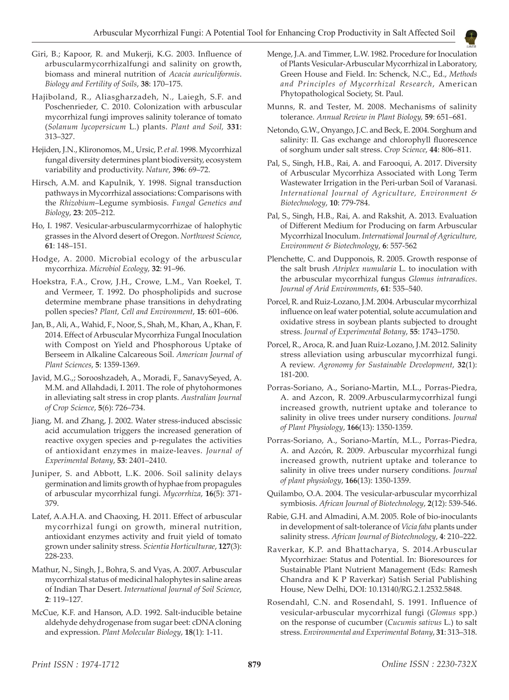- Giri, B.; Kapoor, R. and Mukerji, K.G. 2003. Influence of arbuscularmycorrhizalfungi and salinity on growth, biomass and mineral nutrition of *Acacia auriculiformis*. *Biology and Fertility of Soils*, **38**: 170–175.
- Hajiboland, R., Aliasgharzadeh, N., Laiegh, S.F. and Poschenrieder, C. 2010. Colonization with arbuscular mycorrhizal fungi improves salinity tolerance of tomato (*Solanum lycopersicum* L.) plants. *Plant and Soil,* **331**: 313–327.
- Hejiden, J.N., Klironomos, M., Ursic, P. *et al.* 1998. Mycorrhizal fungal diversity determines plant biodiversity, ecosystem variability and productivity. *Nature*, **396**: 69–72.
- Hirsch, A.M. and Kapulnik, Y. 1998. Signal transduction pathways in Mycorrhizal associations: Comparisons with the *Rhizobium*–Legume symbiosis. *Fungal Genetics and Biology*, **23**: 205–212.
- Ho, I. 1987. Vesicular-arbuscularmycorrhizae of halophytic grasses in the Alvord desert of Oregon. *Northwest Science*, **61**: 148–151.
- Hodge, A. 2000. Microbial ecology of the arbuscular mycorrhiza. *Microbiol Ecology*, **32**: 91–96.
- Hoekstra, F.A., Crow, J.H., Crowe, L.M., Van Roekel, T. and Vermeer, T. 1992. Do phospholipids and sucrose determine membrane phase transitions in dehydrating pollen species? *Plant, Cell and Environment*, **15**: 601–606.
- Jan, B., Ali, A., Wahid, F., Noor, S., Shah, M., Khan, A., Khan, F. 2014. Effect of Arbuscular Mycorrhiza Fungal Inoculation with Compost on Yield and Phosphorous Uptake of Berseem in Alkaline Calcareous Soil. *American Journal of Plant Sciences*, **5**: 1359-1369.
- Javid, M.G.,; Sorooshzadeh, A., Moradi, F., SanavySeyed, A. M.M. and Allahdadi, I. 2011. The role of phytohormones in alleviating salt stress in crop plants. *Australian Journal of Crop Science*, **5**(6): 726–734.
- Jiang, M. and Zhang, J. 2002. Water stress-induced abscissic acid accumulation triggers the increased generation of reactive oxygen species and p-regulates the activities of antioxidant enzymes in maize-leaves. *Journal of Experimental Botany*, **53**: 2401–2410.
- Juniper, S. and Abbott, L.K. 2006. Soil salinity delays germination and limits growth of hyphae from propagules of arbuscular mycorrhizal fungi. *Mycorrhiza*, **16**(5): 371- 379.
- Latef, A.A.H.A. and Chaoxing, H. 2011. Effect of arbuscular mycorrhizal fungi on growth, mineral nutrition, antioxidant enzymes activity and fruit yield of tomato grown under salinity stress. *Scientia Horticulturae*, **127**(3): 228-233.
- Mathur, N., Singh, J., Bohra, S. and Vyas, A. 2007. Arbuscular mycorrhizal status of medicinal halophytes in saline areas of Indian Thar Desert. *International Journal of Soil Science*, **2**: 119–127.
- McCue, K.F. and Hanson, A.D. 1992. Salt-inducible betaine aldehyde dehydrogenase from sugar beet: cDNA cloning and expression. *Plant Molecular Biology*, **18**(1): 1-11.
- Menge, J.A. and Timmer, L.W. 1982. Procedure for Inoculation of Plants Vesicular-Arbuscular Mycorrhizal in Laboratory, Green House and Field. In: Schenck, N.C., Ed., *Methods and Principles of Mycorrhizal Research*, American Phytopathological Society, St. Paul.
- Munns, R. and Tester, M. 2008. Mechanisms of salinity tolerance. *Annual Review in Plant Biology,* **59**: 651–681.
- Netondo, G.W., Onyango, J.C. and Beck, E. 2004. Sorghum and salinity: II. Gas exchange and chlorophyll fluorescence of sorghum under salt stress. *Crop Science*, **44**: 806–811.
- Pal, S., Singh, H.B., Rai, A. and Farooqui, A. 2017. Diversity of Arbuscular Mycorrhiza Associated with Long Term Wastewater Irrigation in the Peri-urban Soil of Varanasi. *International Journal of Agriculture, Environment & Biotechnology*, **10**: 779-784.
- Pal, S., Singh, H.B., Rai, A. and Rakshit, A. 2013. Evaluation of Different Medium for Producing on farm Arbuscular Mycorrhizal Inoculum. *International Journal of Agriculture, Environment & Biotechnology*, **6**: 557-562
- Plenchette, C. and Dupponois, R. 2005. Growth response of the salt brush *Atriplex numularia* L. to inoculation with the arbuscular mycorrhizal fungus *Glomus intraradices*. *Journal of Arid Environments*, **61**: 535–540.
- Porcel, R. and Ruiz-Lozano, J.M. 2004. Arbuscular mycorrhizal influence on leaf water potential, solute accumulation and oxidative stress in soybean plants subjected to drought stress. *Journal of Experimental Botany*, **55**: 1743–1750.
- Porcel, R., Aroca, R. and Juan Ruiz-Lozano, J.M. 2012. Salinity stress alleviation using arbuscular mycorrhizal fungi. A review. *Agronomy for Sustainable Development*, **32**(1): 181-200.
- Porras-Soriano, A., Soriano-Martin, M.L., Porras-Piedra, A. and Azcon, R. 2009.Arbuscularmycorrhizal fungi increased growth, nutrient uptake and tolerance to salinity in olive trees under nursery conditions. *Journal of Plant Physiology*, **166**(13): 1350-1359.
- Porras-Soriano, A., Soriano-Martín, M.L., Porras-Piedra, A. and Azcón, R. 2009. Arbuscular mycorrhizal fungi increased growth, nutrient uptake and tolerance to salinity in olive trees under nursery conditions. *Journal of plant physiology*, **166**(13): 1350-1359.
- Quilambo, O.A. 2004. The vesicular-arbuscular mycorrhizal symbiosis. *African Journal of Biotechnology*, **2**(12): 539-546.
- Rabie, G.H. and Almadini, A.M. 2005. Role of bio-inoculants in development of salt-tolerance of *Vicia faba* plants under salinity stress. *African Journal of Biotechnology*, **4**: 210–222.
- Raverkar, K.P. and Bhattacharya, S. 2014.Arbuscular Mycorrhizae: Status and Potential. In: Bioresources for Sustainable Plant Nutrient Management (Eds: Ramesh Chandra and K P Raverkar) Satish Serial Publishing House, New Delhi, DOI: 10.13140/RG.2.1.2532.5848.
- Rosendahl, C.N. and Rosendahl, S. 1991. Influence of vesicular-arbuscular mycorrhizal fungi (*Glomus* spp.) on the response of cucumber (*Cucumis sativus* L.) to salt stress. *Environmental and Experimental Botany*, **31**: 313–318.